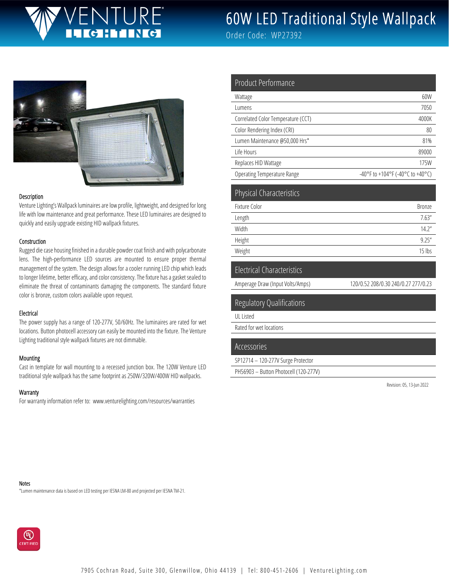# TURF

# 60W LED Traditional Style Wallpack

Order Code: WP27392



#### Description

Venture Lighting's Wallpack luminaires are low profile, lightweight, and designed for long life with low maintenance and great performance. These LED luminaires are designed to quickly and easily upgrade existing HID wallpack fixtures.

#### **Construction**

Rugged die case housing finished in a durable powder coat finish and with polycarbonate lens. The high-performance LED sources are mounted to ensure proper thermal management of the system. The design allows for a cooler running LED chip which leads to longer lifetime, better efficacy, and color consistency. The fixture has a gasket sealed to eliminate the threat of contaminants damaging the components. The standard fixture color is bronze, custom colors available upon request.

#### Electrical

The power supply has a range of 120-277V, 50/60Hz. The luminaires are rated for wet locations. Button photocell accessory can easily be mounted into the fixture. The Venture Lighting traditional style wallpack fixtures are not dimmable.

#### **Mounting**

Cast in template for wall mounting to a recessed junction box. The 120W Venture LED traditional style wallpack has the same footprint as 250W/320W/400W HID wallpacks.

#### **Warranty**

For warranty information refer to: www.venturelighting.com/resources/warranties

| Product Performance                |                                            |
|------------------------------------|--------------------------------------------|
| Wattage                            | 60W                                        |
| Lumens                             | 7050                                       |
| Correlated Color Temperature (CCT) | 4000K                                      |
| Color Rendering Index (CRI)        | 80                                         |
| Lumen Maintenance @50,000 Hrs*     | 81%                                        |
| Life Hours                         | 89000                                      |
| Replaces HID Wattage               | 175W                                       |
| <b>Operating Temperature Range</b> | $-40^{\circ}$ F to +104°F (-40°C to +40°C) |

| <b>Physical Characteristics</b> |               |
|---------------------------------|---------------|
| Fixture Color                   | <b>Bronze</b> |
| Length                          | 7.63''        |
| Width                           | 14.2"         |
| Height                          | 9.25''        |
| Weight                          | $15$ lbs      |

#### Electrical Characteristics

Amperage Draw (Input Volts/Amps) 120/0.52 208/0.30 240/0.27 277/0.23

#### Regulatory Qualifications

UL Listed

Rated for wet locations

#### Accessories

```
SP12714 – 120-277V Surge Protector
```
PH56903 – Button Photocell (120-277V)

Revision: 05, 13-Jun 2022

#### Notes

\*Lumen maintenance data is based on LED testing per IESNA LM-80 and projected per IESNA TM-21.